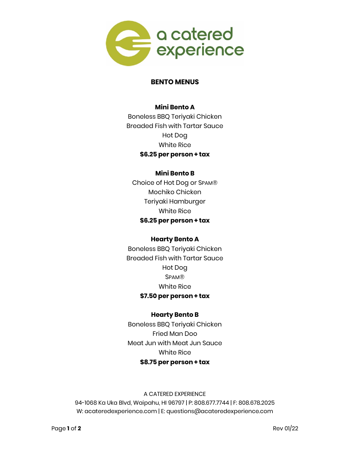

# **BENTO MENUS**

# **Mini Bento A**

Boneless BBQ Teriyaki Chicken Breaded Fish with Tartar Sauce Hot Dog White Rice **\$6.25 per person + tax**

## **Mini Bento B**

Choice of Hot Dog or SPAM® Mochiko Chicken Teriyaki Hamburger White Rice **\$6.25 per person + tax**

### **Hearty Bento A**

Boneless BBQ Teriyaki Chicken Breaded Fish with Tartar Sauce Hot Dog SPAM® White Rice **\$7.50 per person + tax**

# **Hearty Bento B**

Boneless BBQ Teriyaki Chicken Fried Man Doo Meat Jun with Meat Jun Sauce White Rice **\$8.75 per person + tax**

# A CATERED EXPERIENCE 94-1068 Ka Uka Blvd, Waipahu, HI 96797 | P: 808.677.7744 | F: 808.678.2025 W: acateredexperience.com | E: questions@acateredexperience.com